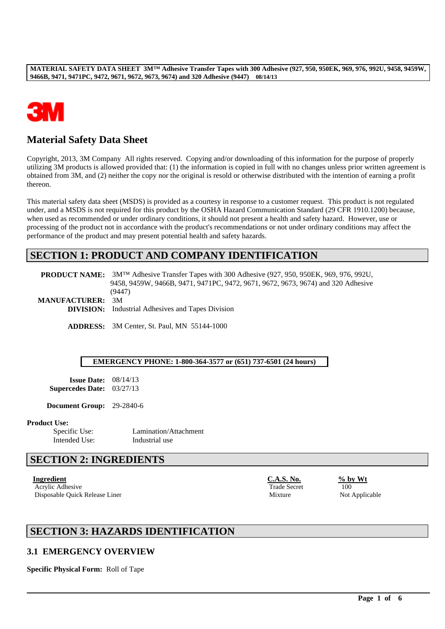

# **Material Safety Data Sheet**

Copyright, 2013, 3M Company All rights reserved. Copying and/or downloading of this information for the purpose of properly utilizing 3M products is allowed provided that: (1) the information is copied in full with no changes unless prior written agreement is obtained from 3M, and (2) neither the copy nor the original is resold or otherwise distributed with the intention of earning a profit thereon.

This material safety data sheet (MSDS) is provided as a courtesy in response to a customer request. This product is not regulated under, and a MSDS is not required for this product by the OSHA Hazard Communication Standard (29 CFR 1910.1200) because, when used as recommended or under ordinary conditions, it should not present a health and safety hazard. However, use or processing of the product not in accordance with the product's recommendations or not under ordinary conditions may affect the performance of the product and may present potential health and safety hazards.

## **SECTION 1: PRODUCT AND COMPANY IDENTIFICATION**

|                         | <b>PRODUCT NAME:</b> 3M <sup>TM</sup> Adhesive Transfer Tapes with 300 Adhesive (927, 950, 950EK, 969, 976, 992U, |
|-------------------------|-------------------------------------------------------------------------------------------------------------------|
|                         | 9458, 9459W, 9466B, 9471, 9471PC, 9472, 9671, 9672, 9673, 9674) and 320 Adhesive                                  |
|                         | (9447)                                                                                                            |
| <b>MANUFACTURER: 3M</b> |                                                                                                                   |
|                         | <b>DIVISION:</b> Industrial Adhesives and Tapes Division                                                          |
|                         |                                                                                                                   |

**ADDRESS:** 3M Center, St. Paul, MN 55144-1000

#### **EMERGENCY PHONE: 1-800-364-3577 or (651) 737-6501 (24 hours)**

\_\_\_\_\_\_\_\_\_\_\_\_\_\_\_\_\_\_\_\_\_\_\_\_\_\_\_\_\_\_\_\_\_\_\_\_\_\_\_\_\_\_\_\_\_\_\_\_\_\_\_\_\_\_\_\_\_\_\_\_\_\_\_\_\_\_\_\_\_\_\_\_\_\_\_\_\_\_\_\_\_\_\_\_\_\_\_\_\_\_\_\_\_\_\_\_\_

**Issue Date:** 08/14/13 **Supercedes Date:** 03/27/13

**Document Group:** 29-2840-6

#### **Product Use:**

Intended Use: Industrial use

Specific Use: Lamination/Attachment

## **SECTION 2: INGREDIENTS**

Acrylic Adhesive 100 Disposable Quick Release Liner and Mixture Not Applicable Not Applicable

**Ingredient C.A.S. No. % by Wt**

# **SECTION 3: HAZARDS IDENTIFICATION**

### **3.1 EMERGENCY OVERVIEW**

**Specific Physical Form:** Roll of Tape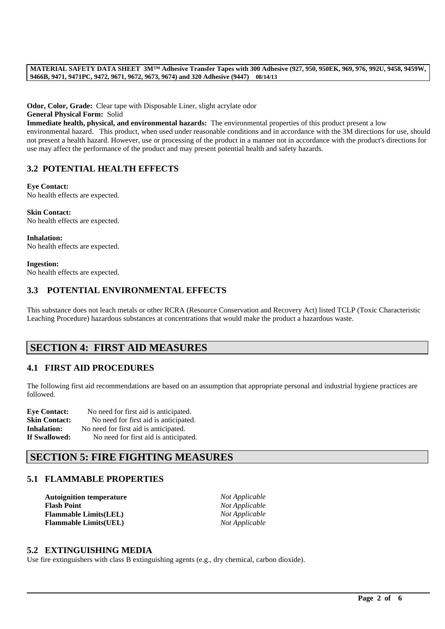**Odor, Color, Grade:** Clear tape with Disposable Liner, slight acrylate odor

**General Physical Form:** Solid

**Immediate health, physical, and environmental hazards:** The environmental properties of this product present a low environmental hazard. This product, when used under reasonable conditions and in accordance with the 3M directions for use, should not present a health hazard. However, use or processing of the product in a manner not in accordance with the product's directions for use may affect the performance of the product and may present potential health and safety hazards.

## **3.2 POTENTIAL HEALTH EFFECTS**

**Eye Contact:** No health effects are expected.

**Skin Contact:** No health effects are expected.

**Inhalation:** No health effects are expected.

**Ingestion:** No health effects are expected.

## **3.3 POTENTIAL ENVIRONMENTAL EFFECTS**

This substance does not leach metals or other RCRA (Resource Conservation and Recovery Act) listed TCLP (Toxic Characteristic Leaching Procedure) hazardous substances at concentrations that would make the product a hazardous waste.

# **SECTION 4: FIRST AID MEASURES**

## **4.1 FIRST AID PROCEDURES**

The following first aid recommendations are based on an assumption that appropriate personal and industrial hygiene practices are followed.

\_\_\_\_\_\_\_\_\_\_\_\_\_\_\_\_\_\_\_\_\_\_\_\_\_\_\_\_\_\_\_\_\_\_\_\_\_\_\_\_\_\_\_\_\_\_\_\_\_\_\_\_\_\_\_\_\_\_\_\_\_\_\_\_\_\_\_\_\_\_\_\_\_\_\_\_\_\_\_\_\_\_\_\_\_\_\_\_\_\_\_\_\_\_\_\_\_

| <b>Eve Contact:</b>  | No need for first aid is anticipated. |
|----------------------|---------------------------------------|
| <b>Skin Contact:</b> | No need for first aid is anticipated. |
| Inhalation:          | No need for first aid is anticipated. |
| <b>If Swallowed:</b> | No need for first aid is anticipated. |

# **SECTION 5: FIRE FIGHTING MEASURES**

## **5.1 FLAMMABLE PROPERTIES**

| <b>Autoignition temperature</b> | Not Applicable |
|---------------------------------|----------------|
| <b>Flash Point</b>              | Not Applicable |
| <b>Flammable Limits(LEL)</b>    | Not Applicable |
| <b>Flammable Limits(UEL)</b>    | Not Applicable |

### **5.2 EXTINGUISHING MEDIA**

Use fire extinguishers with class B extinguishing agents (e.g., dry chemical, carbon dioxide).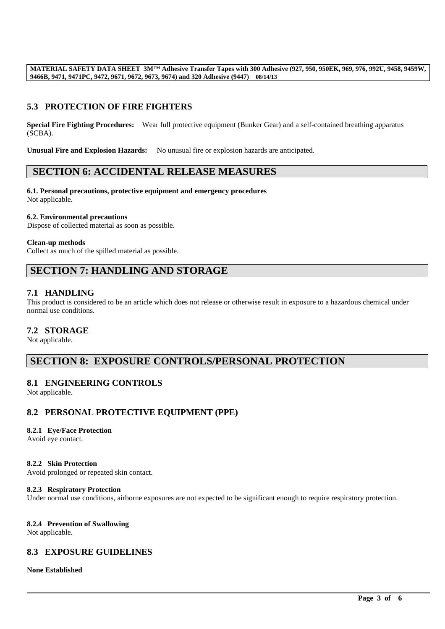# **5.3 PROTECTION OF FIRE FIGHTERS**

**Special Fire Fighting Procedures:** Wear full protective equipment (Bunker Gear) and a self-contained breathing apparatus (SCBA).

**Unusual Fire and Explosion Hazards:** No unusual fire or explosion hazards are anticipated.

## **SECTION 6: ACCIDENTAL RELEASE MEASURES**

**6.1. Personal precautions, protective equipment and emergency procedures** Not applicable.

#### **6.2. Environmental precautions**

Dispose of collected material as soon as possible.

#### **Clean-up methods**

Collect as much of the spilled material as possible.

# **SECTION 7: HANDLING AND STORAGE**

## **7.1 HANDLING**

This product is considered to be an article which does not release or otherwise result in exposure to a hazardous chemical under normal use conditions.

## **7.2 STORAGE**

Not applicable.

# **SECTION 8: EXPOSURE CONTROLS/PERSONAL PROTECTION**

### **8.1 ENGINEERING CONTROLS**

Not applicable.

## **8.2 PERSONAL PROTECTIVE EQUIPMENT (PPE)**

#### **8.2.1 Eye/Face Protection**

Avoid eye contact.

#### **8.2.2 Skin Protection**

Avoid prolonged or repeated skin contact.

#### **8.2.3 Respiratory Protection**

Under normal use conditions, airborne exposures are not expected to be significant enough to require respiratory protection.

\_\_\_\_\_\_\_\_\_\_\_\_\_\_\_\_\_\_\_\_\_\_\_\_\_\_\_\_\_\_\_\_\_\_\_\_\_\_\_\_\_\_\_\_\_\_\_\_\_\_\_\_\_\_\_\_\_\_\_\_\_\_\_\_\_\_\_\_\_\_\_\_\_\_\_\_\_\_\_\_\_\_\_\_\_\_\_\_\_\_\_\_\_\_\_\_\_

### **8.2.4 Prevention of Swallowing**

Not applicable.

## **8.3 EXPOSURE GUIDELINES**

#### **None Established**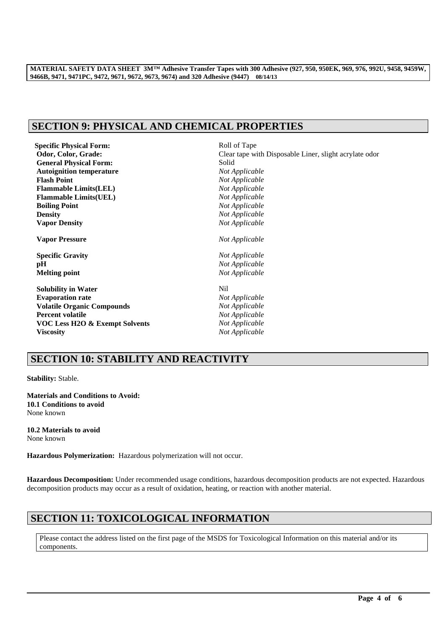# **SECTION 9: PHYSICAL AND CHEMICAL PROPERTIES**

| <b>Specific Physical Form:</b>    | Roll of Tape                                           |  |
|-----------------------------------|--------------------------------------------------------|--|
| Odor, Color, Grade:               | Clear tape with Disposable Liner, slight acrylate odor |  |
| <b>General Physical Form:</b>     | Solid                                                  |  |
| <b>Autoignition temperature</b>   | Not Applicable                                         |  |
| <b>Flash Point</b>                | Not Applicable                                         |  |
| <b>Flammable Limits(LEL)</b>      | Not Applicable                                         |  |
| <b>Flammable Limits(UEL)</b>      | Not Applicable                                         |  |
| <b>Boiling Point</b>              | Not Applicable                                         |  |
| <b>Density</b>                    | Not Applicable                                         |  |
| <b>Vapor Density</b>              | Not Applicable                                         |  |
| <b>Vapor Pressure</b>             | Not Applicable                                         |  |
| <b>Specific Gravity</b>           | Not Applicable                                         |  |
| pH                                | Not Applicable                                         |  |
| <b>Melting point</b>              | Not Applicable                                         |  |
| <b>Solubility in Water</b>        | N <sub>i</sub>                                         |  |
| <b>Evaporation rate</b>           | Not Applicable                                         |  |
| <b>Volatile Organic Compounds</b> | Not Applicable                                         |  |
| <b>Percent volatile</b>           | Not Applicable                                         |  |
| VOC Less H2O & Exempt Solvents    | Not Applicable                                         |  |
| Viscositv                         | Not Applicable                                         |  |

# **SECTION 10: STABILITY AND REACTIVITY**

**Stability:** Stable.

**Materials and Conditions to Avoid: 10.1 Conditions to avoid** None known

**10.2 Materials to avoid** None known

**Hazardous Polymerization:** Hazardous polymerization will not occur.

**Hazardous Decomposition:** Under recommended usage conditions, hazardous decomposition products are not expected. Hazardous decomposition products may occur as a result of oxidation, heating, or reaction with another material.

# **SECTION 11: TOXICOLOGICAL INFORMATION**

Please contact the address listed on the first page of the MSDS for Toxicological Information on this material and/or its components.

\_\_\_\_\_\_\_\_\_\_\_\_\_\_\_\_\_\_\_\_\_\_\_\_\_\_\_\_\_\_\_\_\_\_\_\_\_\_\_\_\_\_\_\_\_\_\_\_\_\_\_\_\_\_\_\_\_\_\_\_\_\_\_\_\_\_\_\_\_\_\_\_\_\_\_\_\_\_\_\_\_\_\_\_\_\_\_\_\_\_\_\_\_\_\_\_\_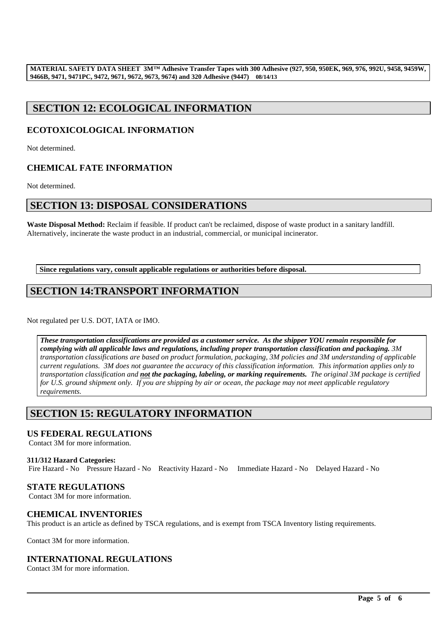# **SECTION 12: ECOLOGICAL INFORMATION**

# **ECOTOXICOLOGICAL INFORMATION**

Not determined.

# **CHEMICAL FATE INFORMATION**

Not determined.

## **SECTION 13: DISPOSAL CONSIDERATIONS**

**Waste Disposal Method:** Reclaim if feasible. If product can't be reclaimed, dispose of waste product in a sanitary landfill. Alternatively, incinerate the waste product in an industrial, commercial, or municipal incinerator.

**Since regulations vary, consult applicable regulations or authorities before disposal.**

# **SECTION 14:TRANSPORT INFORMATION**

Not regulated per U.S. DOT, IATA or IMO.

*These transportation classifications are provided as a customer service. As the shipper YOU remain responsible for complying with all applicable laws and regulations, including proper transportation classification and packaging. 3M transportation classifications are based on product formulation, packaging, 3M policies and 3M understanding of applicable current regulations. 3M does not guarantee the accuracy of this classification information. This information applies only to transportation classification and not the packaging, labeling, or marking requirements. The original 3M package is certified for U.S. ground shipment only. If you are shipping by air or ocean, the package may not meet applicable regulatory requirements.* 

# **SECTION 15: REGULATORY INFORMATION**

### **US FEDERAL REGULATIONS**

Contact 3M for more information.

#### **311/312 Hazard Categories:**

Fire Hazard - No Pressure Hazard - No Reactivity Hazard - No Immediate Hazard - No Delayed Hazard - No

### **STATE REGULATIONS**

Contact 3M for more information.

### **CHEMICAL INVENTORIES**

This product is an article as defined by TSCA regulations, and is exempt from TSCA Inventory listing requirements.

\_\_\_\_\_\_\_\_\_\_\_\_\_\_\_\_\_\_\_\_\_\_\_\_\_\_\_\_\_\_\_\_\_\_\_\_\_\_\_\_\_\_\_\_\_\_\_\_\_\_\_\_\_\_\_\_\_\_\_\_\_\_\_\_\_\_\_\_\_\_\_\_\_\_\_\_\_\_\_\_\_\_\_\_\_\_\_\_\_\_\_\_\_\_\_\_\_

Contact 3M for more information.

## **INTERNATIONAL REGULATIONS**

Contact 3M for more information.